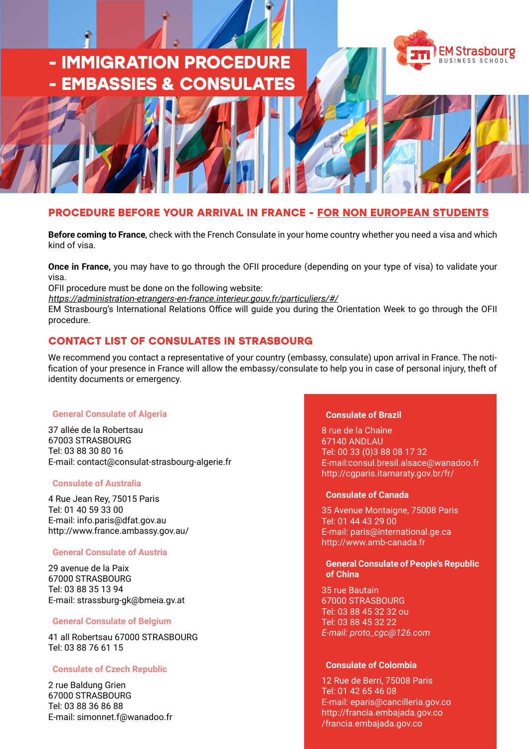# **- IMMIGRATION PROCEDURE - EMBASSIES & CONSULATES**





# **PROCEDURE BEFORE YOUR ARRIVAL IN FRANCE - FOR NON EUROPEAN STUDENTS**

**Before coming to France**, check with the French Consulate in your home country whether you need a visa and which kind of visa.

**Once in France,** you may have to go through the OFII procedure (depending on your type of visa) to validate your visa.

OFII procedure must be done on the following website:

https://administration-etrangers-en-france.interieur.gouv.fr/particuliers/#/

EM Strasbourg's International Relations Office will guide you during the Orientation Week to go through the OFII procedure.

# **CONTACT LIST OF CONSULATES IN STRASBOURG**

We recommend you contact a representative of your country (embassy, consulate) upon arrival in France. The notification of your presence in France will allow the embassy/consulate to help you in case of personal injury, theft of identity documents or emergency.

# **General Consulate of Algeria**

37 allée de la Robertsau 67003 STRASBOURG Tel: 03 88 30 80 16 E-mail: contact@consulat-strasbourg-algerie.fr

# **Consulate of Australia**

4 Rue Jean Rey, 75015 Paris Tel: 01 40 59 33 00 E-mail: info.paris@dfat.gov.au http://www.france.ambassy.gov.au/

# **General Consulate of Austria**

29 avenue de la Paix 67000 STRASBOURG Tel: 03 88 35 13 94 E-mail: strassburg-gk@bmeia.gv.at

# **General Consulate of Belgium**

41 all Robertsau 67000 STRASBOURG Tel: 03 88 76 61 15

# **Consulate of Czech Republic**

2 rue Baldung Grien 67000 STRASBOURG Tel: 03 88 36 86 88 E-mail: simonnet.f@wanadoo.fr

# **Consulate of Brazil**

8 rue de la Chaîne 67140 ANDLAU Tel: 00 33 (0)3 88 08 17 32 E-mail:consul.bresil.alsace@wanadoo.fr http://cgparis.itamaraty.gov.br/fr/

# **Consulate of Canada**

35 Avenue Montaigne, 75008 Paris Tel: 01 44 43 29 00 E-mail: paris@international.ge.ca http://www.amb-canada.fr

## **General Consulate of People's Republic of China**

35 rue Bautain 67000 STRASBOURG Tel: 03 88 45 32 32 ou Tel: 03 88 45 32 22 *E-mail: proto\_cgc@126.com*

# **Consulate of Colombia**

12 Rue de Berri, 75008 Paris Tel: 01 42 65 46 08 E-mail: eparis@cancilleria.gov.co http://francia.embajada.gov.co /francia.embajada.gov.co